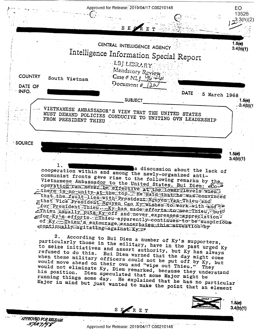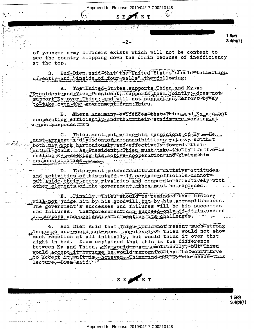Approved for Release: 2019/04/17 C00210148

SEPRET

of younger army officers exists which will not be content to see the country slipping down the drain because of inefficiency at the top.

BuigDiemgaid that the United States should tell Thieu 3. directly-and "inside of four walls" the following:

The United-States supports Thieu and Ky-zas Α. FPresident and Vice President; supports them jointly; does not support Ky over Thieu; and will not support any effort by Ky to take over the government from Thieu.

B. There are many evidences that Thieu and Ky are not cooperating efficiently-and that their staffs are working at cross purposes ware

Thieu must put aside his suspicions of Xy - He - $\mathbf{C}$ . must-arrange-a-division of responsibilities with Ky southat both may work harmoniously and effectively towards their mutual goals. As President, Thieu must take the initiative in calling Ky<sub>rs</sub>seeking his active cooperations and giving thim responsibilities.

Thieugmustaputaan endato the divisive attitudes. D. and activities of his staff. If certain officials cannotal put aside their petty rivalries and cooperate effectively with other elements of the government, they must be replaced.

E. Finally, Thieu should be reminded that history  $\texttt{will}$  not judge him by his goodwill but by his accomplishments. The government's successes and failures will be his successes The government can succeed only if it is sunited and failures. in purpose and aggressive in meeting its challenges.

Bui Diem said that Thieu would mothesent such strong  $4.$ glanguage and would not react negatively. Thieu would not show much reaction at all initially, but would think it over that night in bed. Diem explained that this is the difference between Ky and Thieu. Ky-would react emotionally, white Thieu would accept-it because he would recognize that he would have to accept it. It is rhowever Thieu and not Ky who needs this lecture, Diem said -

SEPRET

Approved for Release: 2019/04/17 C00210148

 $1.5(0)$  $3,4(b)(1)$ 

 $1.5(e)$  $3.4(b)(1)$